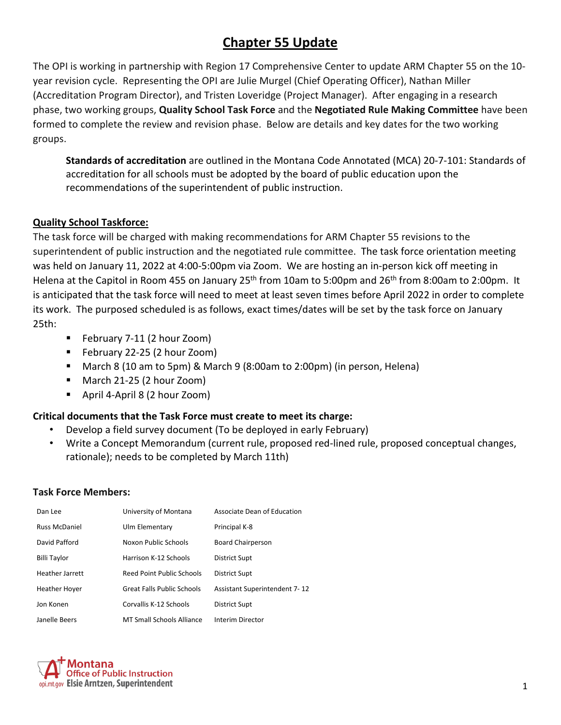# **Chapter 55 Update**

The OPI is working in partnership with Region 17 Comprehensive Center to update ARM Chapter 55 on the 10 year revision cycle. Representing the OPI are Julie Murgel (Chief Operating Officer), Nathan Miller (Accreditation Program Director), and Tristen Loveridge (Project Manager). After engaging in a research phase, two working groups, **Quality School Task Force** and the **Negotiated Rule Making Committee** have been formed to complete the review and revision phase. Below are details and key dates for the two working groups.

**Standards of accreditation** are outlined in the Montana Code Annotated (MCA) 20-7-101: Standards of accreditation for all schools must be adopted by the board of public education upon the recommendations of the superintendent of public instruction.

#### **Quality School Taskforce:**

The task force will be charged with making recommendations for ARM Chapter 55 revisions to the superintendent of public instruction and the negotiated rule committee. The task force orientation meeting was held on January 11, 2022 at 4:00-5:00pm via Zoom. We are hosting an in-person kick off meeting in Helena at the Capitol in Room 455 on January 25<sup>th</sup> from 10am to 5:00pm and 26<sup>th</sup> from 8:00am to 2:00pm. It is anticipated that the task force will need to meet at least seven times before April 2022 in order to complete its work. The purposed scheduled is as follows, exact times/dates will be set by the task force on January 25th:

- **February 7-11 (2 hour Zoom)**
- February 22-25 (2 hour Zoom)
- March 8 (10 am to 5pm) & March 9 (8:00am to 2:00pm) (in person, Helena)
- March 21-25 (2 hour Zoom)
- April 4-April 8 (2 hour Zoom)

#### **Critical documents that the Task Force must create to meet its charge:**

- Develop a field survey document (To be deployed in early February)
- Write a Concept Memorandum (current rule, proposed red-lined rule, proposed conceptual changes, rationale); needs to be completed by March 11th)

#### **Task Force Members:**

| Dan Lee              | University of Montana             | Associate Dean of Education          |
|----------------------|-----------------------------------|--------------------------------------|
| <b>Russ McDaniel</b> | Ulm Elementary                    | Principal K-8                        |
| David Pafford        | Noxon Public Schools              | Board Chairperson                    |
| Billi Taylor         | Harrison K-12 Schools             | <b>District Supt</b>                 |
| Heather Jarrett      | <b>Reed Point Public Schools</b>  | <b>District Supt</b>                 |
| <b>Heather Hover</b> | <b>Great Falls Public Schools</b> | <b>Assistant Superintendent 7-12</b> |
| Jon Konen            | Corvallis K-12 Schools            | <b>District Supt</b>                 |
| Janelle Beers        | <b>MT Small Schools Alliance</b>  | Interim Director                     |